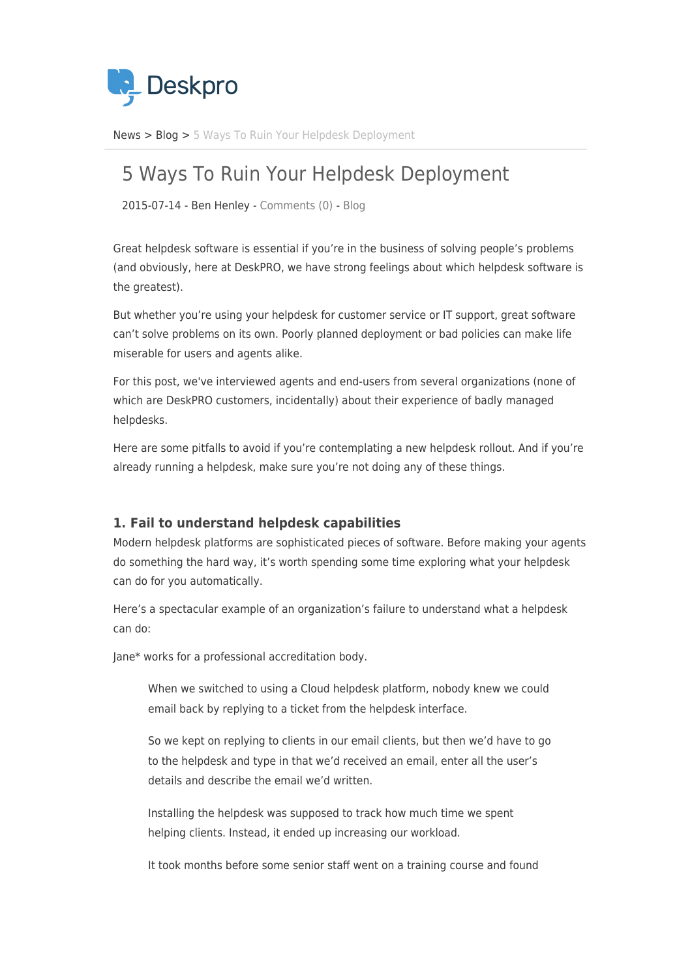

[News](https://support.deskpro.com/sv/news) > [Blog](https://support.deskpro.com/sv/news/blog) > [5 Ways To Ruin Your Helpdesk Deployment](https://support.deskpro.com/sv/news/posts/5-ways-to-ruin-your-helpdesk-deployment)

# 5 Ways To Ruin Your Helpdesk Deployment

2015-07-14 - Ben Henley - [Comments \(0\)](#page--1-0) - [Blog](https://support.deskpro.com/sv/news/blog)

Great helpdesk software is essential if you're in the business of solving people's problems (and obviously, here at DeskPRO, we have strong feelings about which helpdesk software is the greatest).

But whether you're using your helpdesk for customer service or IT support, great software can't solve problems on its own. Poorly planned deployment or bad policies can make life miserable for users and agents alike.

For this post, we've interviewed agents and end-users from several organizations (none of which are DeskPRO customers, incidentally) about their experience of badly managed helpdesks.

Here are some pitfalls to avoid if you're contemplating a new helpdesk rollout. And if you're already running a helpdesk, make sure you're not doing any of these things.

## **1. Fail to understand helpdesk capabilities**

Modern helpdesk platforms are sophisticated pieces of software. Before making your agents do something the hard way, it's worth spending some time exploring what your helpdesk can do for you automatically.

Here's a spectacular example of an organization's failure to understand what a helpdesk can do:

Jane\* works for a professional accreditation body.

When we switched to using a Cloud helpdesk platform, nobody knew we could email back by replying to a ticket from the helpdesk interface.

So we kept on replying to clients in our email clients, but then we'd have to go to the helpdesk and type in that we'd received an email, enter all the user's details and describe the email we'd written.

Installing the helpdesk was supposed to track how much time we spent helping clients. Instead, it ended up increasing our workload.

It took months before some senior staff went on a training course and found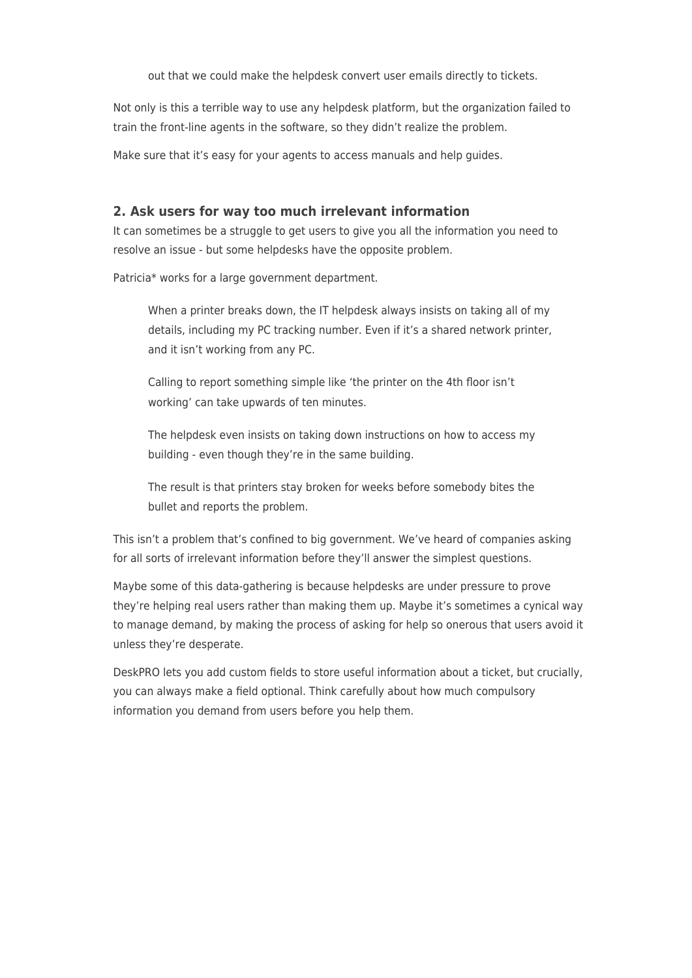out that we could make the helpdesk convert user emails directly to tickets.

Not only is this a terrible way to use any helpdesk platform, but the organization failed to train the front-line agents in the software, so they didn't realize the problem.

Make sure that it's easy for your agents to access manuals and help guides.

## **2. Ask users for way too much irrelevant information**

It can sometimes be a struggle to get users to give you all the information you need to resolve an issue - but some helpdesks have the opposite problem.

Patricia\* works for a large government department.

When a printer breaks down, the IT helpdesk always insists on taking all of my details, including my PC tracking number. Even if it's a shared network printer, and it isn't working from any PC.

Calling to report something simple like 'the printer on the 4th floor isn't working' can take upwards of ten minutes.

The helpdesk even insists on taking down instructions on how to access my building - even though they're in the same building.

The result is that printers stay broken for weeks before somebody bites the bullet and reports the problem.

This isn't a problem that's confined to big government. We've heard of companies asking for all sorts of irrelevant information before they'll answer the simplest questions.

Maybe some of this data-gathering is because helpdesks are under pressure to prove they're helping real users rather than making them up. Maybe it's sometimes a cynical way to manage demand, by making the process of asking for help so onerous that users avoid it unless they're desperate.

DeskPRO lets you add custom fields to store useful information about a ticket, but crucially, you can always make a field optional. Think carefully about how much compulsory information you demand from users before you help them.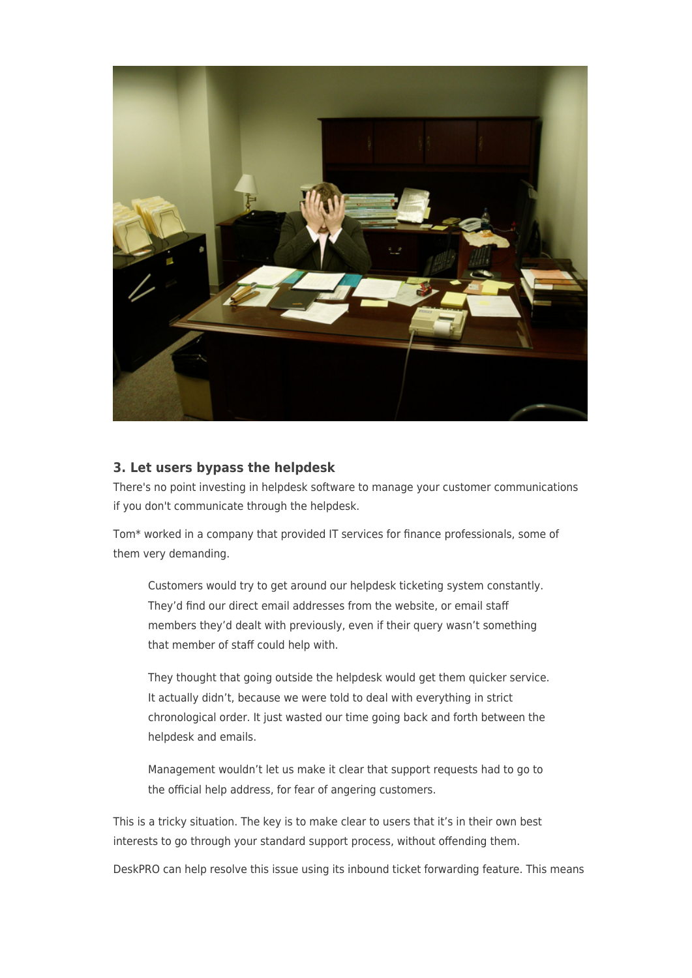

## **3. Let users bypass the helpdesk**

There's no point investing in helpdesk software to manage your customer communications if you don't communicate through the helpdesk.

Tom\* worked in a company that provided IT services for finance professionals, some of them very demanding.

Customers would try to get around our helpdesk ticketing system constantly. They'd find our direct email addresses from the website, or email staff members they'd dealt with previously, even if their query wasn't something that member of staff could help with.

They thought that going outside the helpdesk would get them quicker service. It actually didn't, because we were told to deal with everything in strict chronological order. It just wasted our time going back and forth between the helpdesk and emails.

Management wouldn't let us make it clear that support requests had to go to the official help address, for fear of angering customers.

This is a tricky situation. The key is to make clear to users that it's in their own best interests to go through your standard support process, without offending them.

DeskPRO can help resolve this issue using its inbound ticket forwarding feature. This means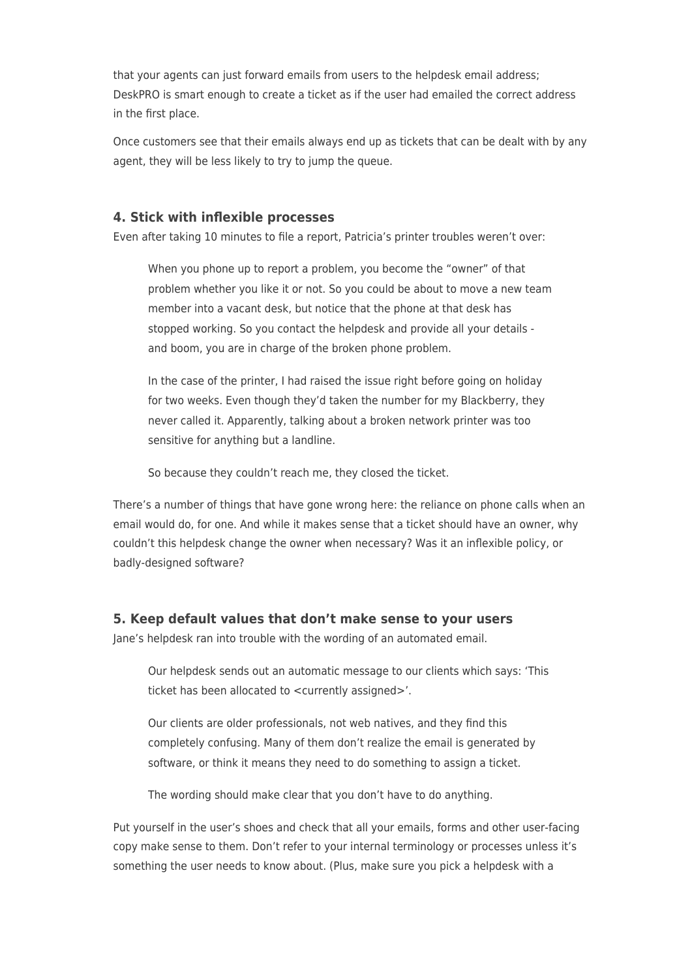that your agents can just forward emails from users to the helpdesk email address; DeskPRO is smart enough to create a ticket as if the user had emailed the correct address in the first place.

Once customers see that their emails always end up as tickets that can be dealt with by any agent, they will be less likely to try to jump the queue.

### **4. Stick with inflexible processes**

Even after taking 10 minutes to file a report, Patricia's printer troubles weren't over:

When you phone up to report a problem, you become the "owner" of that problem whether you like it or not. So you could be about to move a new team member into a vacant desk, but notice that the phone at that desk has stopped working. So you contact the helpdesk and provide all your details and boom, you are in charge of the broken phone problem.

In the case of the printer, I had raised the issue right before going on holiday for two weeks. Even though they'd taken the number for my Blackberry, they never called it. Apparently, talking about a broken network printer was too sensitive for anything but a landline.

So because they couldn't reach me, they closed the ticket.

There's a number of things that have gone wrong here: the reliance on phone calls when an email would do, for one. And while it makes sense that a ticket should have an owner, why couldn't this helpdesk change the owner when necessary? Was it an inflexible policy, or badly-designed software?

#### **5. Keep default values that don't make sense to your users**

Jane's helpdesk ran into trouble with the wording of an automated email.

Our helpdesk sends out an automatic message to our clients which says: 'This ticket has been allocated to <currently assigned>'.

Our clients are older professionals, not web natives, and they find this completely confusing. Many of them don't realize the email is generated by software, or think it means they need to do something to assign a ticket.

The wording should make clear that you don't have to do anything.

Put yourself in the user's shoes and check that all your emails, forms and other user-facing copy make sense to them. Don't refer to your internal terminology or processes unless it's something the user needs to know about. (Plus, make sure you pick a helpdesk with a